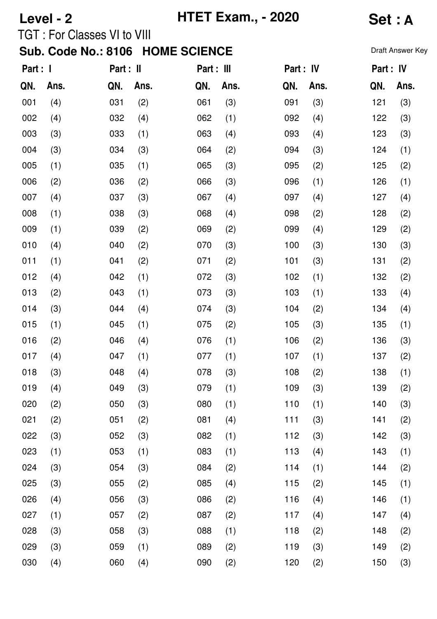# **Level - 2 HTET Exam., - 2020 Set : A**

## TGT : For Classes VI to VIII

| Part : I |      | Part : II |      | Part : III |      | Part : IV |      | Part: IV |      |
|----------|------|-----------|------|------------|------|-----------|------|----------|------|
| QN.      | Ans. | QN.       | Ans. | QN.        | Ans. | QN.       | Ans. | QN.      | Ans. |
| 001      | (4)  | 031       | (2)  | 061        | (3)  | 091       | (3)  | 121      | (3)  |
| 002      | (4)  | 032       | (4)  | 062        | (1)  | 092       | (4)  | 122      | (3)  |
| 003      | (3)  | 033       | (1)  | 063        | (4)  | 093       | (4)  | 123      | (3)  |
| 004      | (3)  | 034       | (3)  | 064        | (2)  | 094       | (3)  | 124      | (1)  |
| 005      | (1)  | 035       | (1)  | 065        | (3)  | 095       | (2)  | 125      | (2)  |
| 006      | (2)  | 036       | (2)  | 066        | (3)  | 096       | (1)  | 126      | (1)  |
| 007      | (4)  | 037       | (3)  | 067        | (4)  | 097       | (4)  | 127      | (4)  |
| 008      | (1)  | 038       | (3)  | 068        | (4)  | 098       | (2)  | 128      | (2)  |
| 009      | (1)  | 039       | (2)  | 069        | (2)  | 099       | (4)  | 129      | (2)  |
| 010      | (4)  | 040       | (2)  | 070        | (3)  | 100       | (3)  | 130      | (3)  |
| 011      | (1)  | 041       | (2)  | 071        | (2)  | 101       | (3)  | 131      | (2)  |
| 012      | (4)  | 042       | (1)  | 072        | (3)  | 102       | (1)  | 132      | (2)  |
| 013      | (2)  | 043       | (1)  | 073        | (3)  | 103       | (1)  | 133      | (4)  |
| 014      | (3)  | 044       | (4)  | 074        | (3)  | 104       | (2)  | 134      | (4)  |
| 015      | (1)  | 045       | (1)  | 075        | (2)  | 105       | (3)  | 135      | (1)  |
| 016      | (2)  | 046       | (4)  | 076        | (1)  | 106       | (2)  | 136      | (3)  |
| 017      | (4)  | 047       | (1)  | 077        | (1)  | 107       | (1)  | 137      | (2)  |
| 018      | (3)  | 048       | (4)  | 078        | (3)  | 108       | (2)  | 138      | (1)  |
| 019      | (4)  | 049       | (3)  | 079        | (1)  | 109       | (3)  | 139      | (2)  |
| 020      | (2)  | 050       | (3)  | 080        | (1)  | 110       | (1)  | 140      | (3)  |
| 021      | (2)  | 051       | (2)  | 081        | (4)  | 111       | (3)  | 141      | (2)  |
| 022      | (3)  | 052       | (3)  | 082        | (1)  | 112       | (3)  | 142      | (3)  |
| 023      | (1)  | 053       | (1)  | 083        | (1)  | 113       | (4)  | 143      | (1)  |
| 024      | (3)  | 054       | (3)  | 084        | (2)  | 114       | (1)  | 144      | (2)  |
| 025      | (3)  | 055       | (2)  | 085        | (4)  | 115       | (2)  | 145      | (1)  |
| 026      | (4)  | 056       | (3)  | 086        | (2)  | 116       | (4)  | 146      | (1)  |
| 027      | (1)  | 057       | (2)  | 087        | (2)  | 117       | (4)  | 147      | (4)  |
| 028      | (3)  | 058       | (3)  | 088        | (1)  | 118       | (2)  | 148      | (2)  |
| 029      | (3)  | 059       | (1)  | 089        | (2)  | 119       | (3)  | 149      | (2)  |
| 030      | (4)  | 060       | (4)  | 090        | (2)  | 120       | (2)  | 150      | (3)  |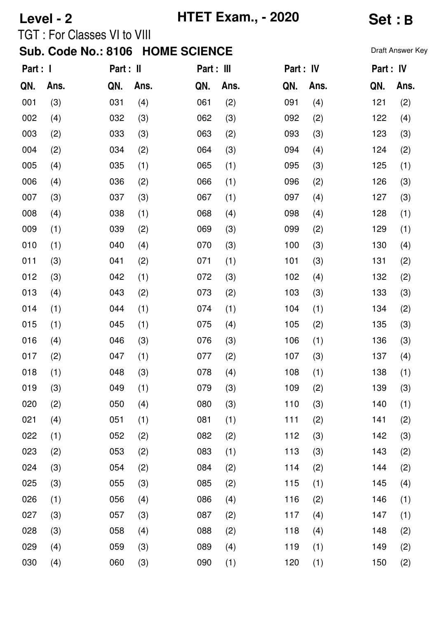# **Level - 2 HTET Exam., - 2020 Set : B**

## TGT : For Classes VI to VIII

| Part : I |      | Part : II |      | Part : III |      | Part : IV |      | Part : IV |      |
|----------|------|-----------|------|------------|------|-----------|------|-----------|------|
| QN.      | Ans. | QN.       | Ans. | QN.        | Ans. | QN.       | Ans. | QN.       | Ans. |
| 001      | (3)  | 031       | (4)  | 061        | (2)  | 091       | (4)  | 121       | (2)  |
| 002      | (4)  | 032       | (3)  | 062        | (3)  | 092       | (2)  | 122       | (4)  |
| 003      | (2)  | 033       | (3)  | 063        | (2)  | 093       | (3)  | 123       | (3)  |
| 004      | (2)  | 034       | (2)  | 064        | (3)  | 094       | (4)  | 124       | (2)  |
| 005      | (4)  | 035       | (1)  | 065        | (1)  | 095       | (3)  | 125       | (1)  |
| 006      | (4)  | 036       | (2)  | 066        | (1)  | 096       | (2)  | 126       | (3)  |
| 007      | (3)  | 037       | (3)  | 067        | (1)  | 097       | (4)  | 127       | (3)  |
| 008      | (4)  | 038       | (1)  | 068        | (4)  | 098       | (4)  | 128       | (1)  |
| 009      | (1)  | 039       | (2)  | 069        | (3)  | 099       | (2)  | 129       | (1)  |
| 010      | (1)  | 040       | (4)  | 070        | (3)  | 100       | (3)  | 130       | (4)  |
| 011      | (3)  | 041       | (2)  | 071        | (1)  | 101       | (3)  | 131       | (2)  |
| 012      | (3)  | 042       | (1)  | 072        | (3)  | 102       | (4)  | 132       | (2)  |
| 013      | (4)  | 043       | (2)  | 073        | (2)  | 103       | (3)  | 133       | (3)  |
| 014      | (1)  | 044       | (1)  | 074        | (1)  | 104       | (1)  | 134       | (2)  |
| 015      | (1)  | 045       | (1)  | 075        | (4)  | 105       | (2)  | 135       | (3)  |
| 016      | (4)  | 046       | (3)  | 076        | (3)  | 106       | (1)  | 136       | (3)  |
| 017      | (2)  | 047       | (1)  | 077        | (2)  | 107       | (3)  | 137       | (4)  |
| 018      | (1)  | 048       | (3)  | 078        | (4)  | 108       | (1)  | 138       | (1)  |
| 019      | (3)  | 049       | (1)  | 079        | (3)  | 109       | (2)  | 139       | (3)  |
| 020      | (2)  | 050       | (4)  | 080        | (3)  | 110       | (3)  | 140       | (1)  |
| 021      | (4)  | 051       | (1)  | 081        | (1)  | 111       | (2)  | 141       | (2)  |
| 022      | (1)  | 052       | (2)  | 082        | (2)  | 112       | (3)  | 142       | (3)  |
| 023      | (2)  | 053       | (2)  | 083        | (1)  | 113       | (3)  | 143       | (2)  |
| 024      | (3)  | 054       | (2)  | 084        | (2)  | 114       | (2)  | 144       | (2)  |
| 025      | (3)  | 055       | (3)  | 085        | (2)  | 115       | (1)  | 145       | (4)  |
| 026      | (1)  | 056       | (4)  | 086        | (4)  | 116       | (2)  | 146       | (1)  |
| 027      | (3)  | 057       | (3)  | 087        | (2)  | 117       | (4)  | 147       | (1)  |
| 028      | (3)  | 058       | (4)  | 088        | (2)  | 118       | (4)  | 148       | (2)  |
| 029      | (4)  | 059       | (3)  | 089        | (4)  | 119       | (1)  | 149       | (2)  |
| 030      | (4)  | 060       | (3)  | 090        | (1)  | 120       | (1)  | 150       | (2)  |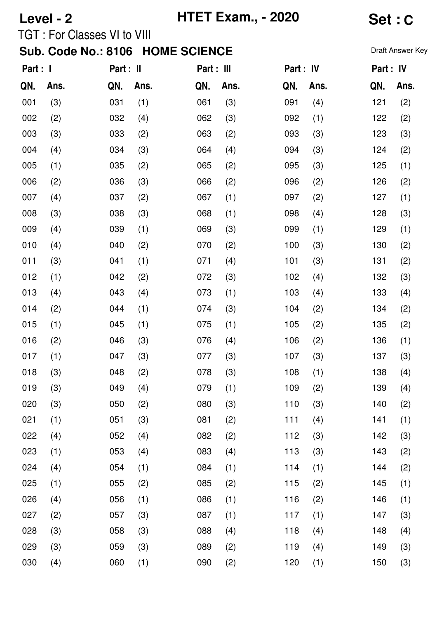# **Level - 2 HTET Exam., - 2020 Set : C**

## TGT : For Classes VI to VIII

| Part : 1 |      | Part : II |      | Part : III |      | Part : IV |      | Part : IV |      |
|----------|------|-----------|------|------------|------|-----------|------|-----------|------|
| QN.      | Ans. | QN.       | Ans. | QN.        | Ans. | QN.       | Ans. | QN.       | Ans. |
| 001      | (3)  | 031       | (1)  | 061        | (3)  | 091       | (4)  | 121       | (2)  |
| 002      | (2)  | 032       | (4)  | 062        | (3)  | 092       | (1)  | 122       | (2)  |
| 003      | (3)  | 033       | (2)  | 063        | (2)  | 093       | (3)  | 123       | (3)  |
| 004      | (4)  | 034       | (3)  | 064        | (4)  | 094       | (3)  | 124       | (2)  |
| 005      | (1)  | 035       | (2)  | 065        | (2)  | 095       | (3)  | 125       | (1)  |
| 006      | (2)  | 036       | (3)  | 066        | (2)  | 096       | (2)  | 126       | (2)  |
| 007      | (4)  | 037       | (2)  | 067        | (1)  | 097       | (2)  | 127       | (1)  |
| 008      | (3)  | 038       | (3)  | 068        | (1)  | 098       | (4)  | 128       | (3)  |
| 009      | (4)  | 039       | (1)  | 069        | (3)  | 099       | (1)  | 129       | (1)  |
| 010      | (4)  | 040       | (2)  | 070        | (2)  | 100       | (3)  | 130       | (2)  |
| 011      | (3)  | 041       | (1)  | 071        | (4)  | 101       | (3)  | 131       | (2)  |
| 012      | (1)  | 042       | (2)  | 072        | (3)  | 102       | (4)  | 132       | (3)  |
| 013      | (4)  | 043       | (4)  | 073        | (1)  | 103       | (4)  | 133       | (4)  |
| 014      | (2)  | 044       | (1)  | 074        | (3)  | 104       | (2)  | 134       | (2)  |
| 015      | (1)  | 045       | (1)  | 075        | (1)  | 105       | (2)  | 135       | (2)  |
| 016      | (2)  | 046       | (3)  | 076        | (4)  | 106       | (2)  | 136       | (1)  |
| 017      | (1)  | 047       | (3)  | 077        | (3)  | 107       | (3)  | 137       | (3)  |
| 018      | (3)  | 048       | (2)  | 078        | (3)  | 108       | (1)  | 138       | (4)  |
| 019      | (3)  | 049       | (4)  | 079        | (1)  | 109       | (2)  | 139       | (4)  |
| 020      | (3)  | 050       | (2)  | 080        | (3)  | 110       | (3)  | 140       | (2)  |
| 021      | (1)  | 051       | (3)  | 081        | (2)  | 111       | (4)  | 141       | (1)  |
| 022      | (4)  | 052       | (4)  | 082        | (2)  | 112       | (3)  | 142       | (3)  |
| 023      | (1)  | 053       | (4)  | 083        | (4)  | 113       | (3)  | 143       | (2)  |
| 024      | (4)  | 054       | (1)  | 084        | (1)  | 114       | (1)  | 144       | (2)  |
| 025      | (1)  | 055       | (2)  | 085        | (2)  | 115       | (2)  | 145       | (1)  |
| 026      | (4)  | 056       | (1)  | 086        | (1)  | 116       | (2)  | 146       | (1)  |
| 027      | (2)  | 057       | (3)  | 087        | (1)  | 117       | (1)  | 147       | (3)  |
| 028      | (3)  | 058       | (3)  | 088        | (4)  | 118       | (4)  | 148       | (4)  |
| 029      | (3)  | 059       | (3)  | 089        | (2)  | 119       | (4)  | 149       | (3)  |
| 030      | (4)  | 060       | (1)  | 090        | (2)  | 120       | (1)  | 150       | (3)  |